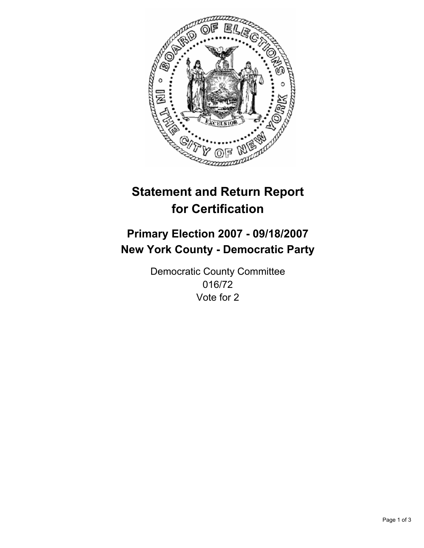

# **Statement and Return Report for Certification**

## **Primary Election 2007 - 09/18/2007 New York County - Democratic Party**

Democratic County Committee 016/72 Vote for 2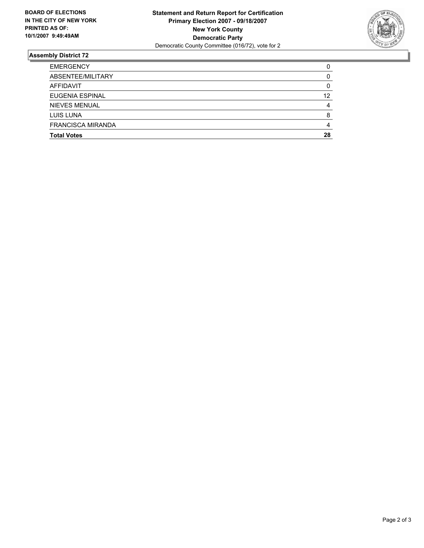

### **Assembly District 72**

| <b>Total Votes</b>       | 28 |
|--------------------------|----|
| <b>FRANCISCA MIRANDA</b> |    |
| <b>LUIS LUNA</b>         |    |
| NIEVES MENUAL            |    |
| <b>EUGENIA ESPINAL</b>   | 12 |
| AFFIDAVIT                |    |
| ABSENTEE/MILITARY        |    |
| <b>EMERGENCY</b>         |    |